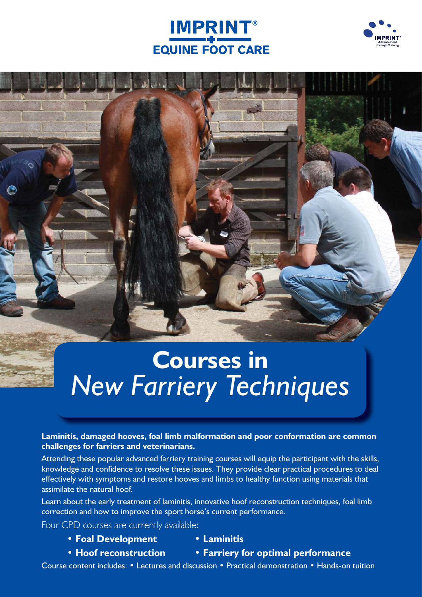### IMPRINT® **EQUINE FOOT CARE**



# **Courses in** *New Farriery Techniques*

**Laminitis, damaged hooves, foal limb malformation and poor conformation are common challenges for farriers and veterinarians.**

Attending these popular advanced farriery training courses will equip the participant with the skills, knowledge and confidence to resolve these issues. They provide clear practical procedures to deal effectively with symptoms and restore hooves and limbs to healthy function using materials that assimilate the natural hoof.

Learn about the early treatment of laminitis, innovative hoof reconstruction techniques, foal limb correction and how to improve the sport horse's current performance.

Four CPD courses are currently available:

- **Foal Development Laminitis**
	-
- 
- **Hoof reconstruction Farriery for optimal performance**

Course content includes: • Lectures and discussion • Practical demonstration • Hands-on tuition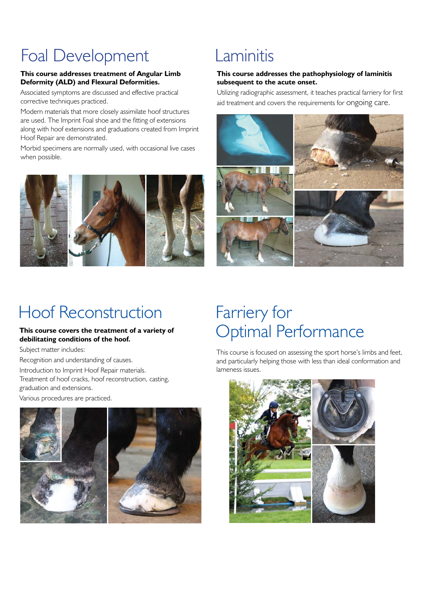# Foal Development

#### **This course addresses treatment of Angular Limb Deformity (ALD) and Flexural Deformities.**

Associated symptoms are discussed and effective practical corrective techniques practiced.

Modern materials that more closely assimilate hoof structures are used. The Imprint Foal shoe and the fitting of extensions along with hoof extensions and graduations created from Imprint Hoof Repair are demonstrated.

Morbid specimens are normally used, with occasional live cases when possible.



## Laminitis

#### **This course addresses the pathophysiology of laminitis subsequent to the acute onset.**

Utilizing radiographic assessment, it teaches practical farriery for first aid treatment and covers the requirements for ongoing care.



### Hoof Reconstruction

#### **This course covers the treatment of a variety of debilitating conditions of the hoof.**

Subject matter includes:

Recognition and understanding of causes.

Introduction to Imprint Hoof Repair materials.

Treatment of hoof cracks, hoof reconstruction, casting, graduation and extensions.

Various procedures are practiced.



## Farriery for Optimal Performance

This course is focused on assessing the sport horse's limbs and feet, and particularly helping those with less than ideal conformation and lameness issues.